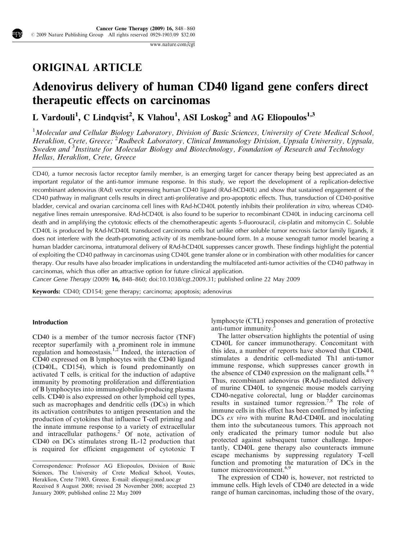[www.nature.com](http://www.nature.com/cgt)/cgt

## ORIGINAL ARTICLE

# Adenovirus delivery of human CD40 ligand gene confers direct therapeutic effects on carcinomas

## L Vardouli<sup>1</sup>, C Lindqvist<sup>2</sup>, K Vlahou<sup>1</sup>, ASI Loskog<sup>2</sup> and AG Eliopoulos<sup>1,3</sup>

<sup>1</sup>Molecular and Cellular Biology Laboratory, Division of Basic Sciences, University of Crete Medical School, Heraklion, Crete, Greece; <sup>2</sup> Rudbeck Laboratory, Clinical Immunology Division, Uppsala University, Uppsala, Sweden and <sup>3</sup>Institute for Molecular Biology and Biotechnology, Foundation of Research and Technology Hellas, Heraklion, Crete, Greece

CD40, a tumor necrosis factor receptor family member, is an emerging target for cancer therapy being best appreciated as an important regulator of the anti-tumor immune response. In this study, we report the development of a replication-defective recombinant adenovirus (RAd) vector expressing human CD40 ligand (RAd-hCD40L) and show that sustained engagement of the CD40 pathway in malignant cells results in direct anti-proliferative and pro-apoptotic effects. Thus, transduction of CD40-positive bladder, cervical and ovarian carcinoma cell lines with RAd-hCD40L potently inhibits their proliferation in vitro, whereas CD40 negative lines remain unresponsive. RAd-hCD40L is also found to be superior to recombinant CD40L in inducing carcinoma cell death and in amplifying the cytotoxic effects of the chemotherapeutic agents 5-fluorouracil, cis-platin and mitomycin C. Soluble CD40L is produced by RAd-hCD40L transduced carcinoma cells but unlike other soluble tumor necrosis factor family ligands, it does not interfere with the death-promoting activity of its membrane-bound form. In a mouse xenograft tumor model bearing a human bladder carcinoma, intratumoral delivery of RAd-hCD40L suppresses cancer growth. These findings highlight the potential of exploiting the CD40 pathway in carcinomas using CD40L gene transfer alone or in combination with other modalities for cancer therapy. Our results have also broader implications in understanding the multifaceted anti-tumor activities of the CD40 pathway in carcinomas, which thus offer an attractive option for future clinical application.

Cancer Gene Therapy (2009) 16, 848–860; doi[:10.1038/cgt.2009.31](http://dx.doi.org/10.1038/cgt.2009.31); published online 22 May 2009

Keywords: CD40; CD154; gene therapy; carcinoma; apoptosis; adenovirus

#### Introduction

CD40 is a member of the tumor necrosis factor (TNF) receptor superfamily with a prominent role in immune regulation and homeostasis.<sup>1,2</sup> Indeed, the interaction of CD40 expressed on B lymphocytes with the CD40 ligand (CD40L, CD154), which is found predominantly on activated T cells, is critical for the induction of adaptive immunity by promoting proliferation and differentiation of B lymphocytes into immunoglobulin-producing plasma cells. CD40 is also expressed on other lymphoid cell types, such as macrophages and dendritic cells (DCs) in which its activation contributes to antigen presentation and the production of cytokines that influence T-cell priming and the innate immune response to a variety of extracellular and intracellular pathogens.<sup>2</sup> Of note, activation of CD40 on DCs stimulates strong IL-12 production that is required for efficient engagement of cytotoxic T lymphocyte (CTL) responses and generation of protective anti-tumor immunity.

The latter observation highlights the potential of using CD40L for cancer immunotherapy. Concomitant with this idea, a number of reports have showed that CD40L stimulates a dendritic cell-mediated Th1 anti-tumor immune response, which suppresses cancer growth in the absence of CD40 expression on the malignant cells. $4-6$ Thus, recombinant adenovirus (RAd)-mediated delivery of murine CD40L to syngeneic mouse models carrying CD40-negative colorectal, lung or bladder carcinomas results in sustained tumor regression.[7,8](#page-11-0) The role of immune cells in this effect has been confirmed by infecting DCs ex vivo with murine RAd-CD40L and inoculating them into the subcutaneous tumors. This approach not only eradicated the primary tumor nodule but also protected against subsequent tumor challenge. Importantly, CD40L gene therapy also counteracts immune escape mechanisms by suppressing regulatory T-cell function and promoting the maturation of DCs in the tumor microenvironment.<sup>[6,9](#page-11-0)</sup>

The expression of CD40 is, however, not restricted to immune cells. High levels of CD40 are detected in a wide range of human carcinomas, including those of the ovary,

Received 8 August 2008; revised 28 November 2008; accepted 23 January 2009; published online 22 May 2009 Correspondence: Professor AG Eliopoulos, Division of Basic Sciences, The University of Crete Medical School, Voutes, Heraklion, Crete 71003, Greece. E-mail: [eliopag@med.uoc.gr](mailto:eliopag@med.uoc.gr)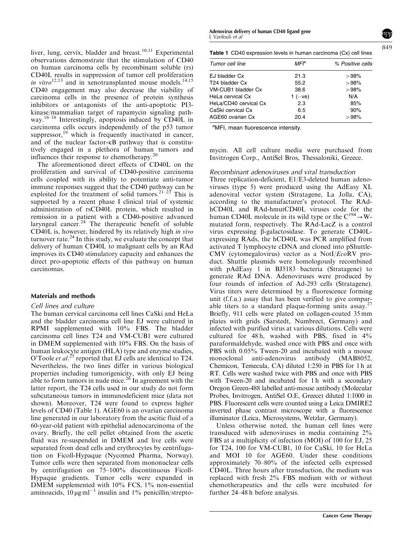<span id="page-1-0"></span>liver, lung, cervix, bladder and breast.<sup>10,11</sup> Experimental observations demonstrate that the stimulation of CD40 on human carcinoma cells by recombinant soluble (rs) CD40L results in suppression of tumor cell proliferation in vitro $12,13$  and in xenotransplanted mouse models.<sup>[14,15](#page-11-0)</sup> CD40 engagement may also decrease the viability of carcinoma cells in the presence of protein synthesis inhibitors or antagonists of the anti-apoptotic PI3 kinase/mammalian target of rapamycin signaling pathway.[16–18](#page-11-0) Interestingly, apoptosis induced by CD40L in carcinoma cells occurs independently of the p53 tumor suppressor, $^{19}$  which is frequently inactivated in cancer, and of the nuclear factor-kB pathway that is constitutively engaged in a plethora of human tumors and influences their response to chemotherapy.<sup>[20](#page-12-0)</sup>

The aforementioned direct effects of CD40L on the proliferation and survival of CD40-positive carcinoma cells coupled with its ability to potentiate anti-tumor immune responses suggest that the CD40 pathway can be exploited for the treatment of solid tumors.<sup>21–23</sup> This is supported by a recent phase I clinical trial of systemic administration of rsCD40L protein, which resulted in remission in a patient with a CD40-positive advanced laryngeal cancer.<sup>[24](#page-12-0)</sup> The therapeutic benefit of soluble CD40L is, however, hindered by its relatively high in vivo turnover rate. $^{24}$  $^{24}$  $^{24}$  In this study, we evaluate the concept that delivery of human CD40L to malignant cells by an RAd improves its CD40 stimulatory capacity and enhances the direct pro-apoptotic effects of this pathway on human carcinomas.

#### Materials and methods

## Cell lines and culture

The human cervical carcinoma cell lines CaSki and HeLa and the bladder carcinoma cell line EJ were cultured in RPMI supplemented with 10% FBS. The bladder carcinoma cell lines T24 and VM-CUB1 were cultured in DMEM supplemented with 10% FBS. On the basis of human leukocyte antigen (HLA) type and enzyme studies, O'Toole et al.<sup>[25](#page-12-0)</sup> reported that EJ cells are identical to T24. Nevertheless, the two lines differ in various biological properties including tumorigenicity, with only EJ being able to form tumors in nude mice. $2^6$  In agreement with the latter report, the T24 cells used in our study do not form subcutaneous tumors in immunodeficient mice (data not shown). Moreover, T24 were found to express higher levels of CD40 (Table 1). AGE60 is an ovarian carcinoma line generated in our laboratory from the ascitic fluid of a 60-year-old patient with epithelial adenocarcinoma of the ovary. Briefly, the cell pellet obtained from the ascetic fluid was re-suspended in DMEM and live cells were separated from dead cells and erythrocytes by centrifugation on Ficoll-Hypaque (Nycomed Pharma, Norway). Tumor cells were then separated from mononuclear cells by centrifugation on 75–100% discontinuous Ficoll-Hypaque gradients. Tumor cells were expanded in DMEM supplemented with 10% FCS, 1% non-essential aminoacids,  $10 \mu g$  ml<sup>-1</sup> insulin and  $1\%$  penicillin/strepto-

Adenovirus delivery of human CD40 ligand gene L Vardouli et al

| <b>Table 1</b> CD40 expression levels in human carcinoma (Cx) cell lines |
|--------------------------------------------------------------------------|
|                                                                          |

| Tumor cell line       | MFP<br>21.3 | % Positive cells<br>>98% |
|-----------------------|-------------|--------------------------|
| EJ bladder Cx         |             |                          |
| T24 bladder Cx        | 55.2        | >98%                     |
| VM-CUB1 bladder Cx    | 38.6        | >98%                     |
| HeLa cervical Cx      | 1 $(-ve)$   | N/A                      |
| HeLa/CD40 cervical Cx | 2.3         | 85%                      |
| CaSki cervical Cx     | 6.5         | 90%                      |
| AGE60 ovarian Cx      | 20.4        | >98%                     |

aMFI, mean fluorescence intensity.

mycin. All cell culture media were purchased from Invitrogen Corp., AntiSel Bros, Thessaloniki, Greece.

#### Recombinant adenoviruses and viral transduction

Three replication-deficient, E1/E3-deleted human adenoviruses (type 5) were produced using the AdEasy XL adenoviral vector system (Stratagene, La Jolla, CA), according to the manufacturer's protocol. The RAdhCD40L and RAd-hmutCD40L viruses code for the human CD40L molecule in its wild type or the  $C^{194} \rightarrow W$ mutated form, respectively. The RAd-LacZ is a control virus expressing b-galactosidase. To generate CD40Lexpressing RAds, the hCD40L was PCR amplified from activated T lymphocyte cDNA and cloned into pShuttle-CMV (cytomegalovirus) vector as a NotI/EcoRV product. Shuttle plasmids were homologously recombined with pAdEasy 1 in BJ5183 bacteria (Stratagene) to generate RAd DNA. Adenoviruses were produced by four rounds of infection of Ad-293 cells (Stratagene). Virus titers were determined by a fluorescence forming unit (f.f.u.) assay that has been verified to give comparable titers to a standard plaque-forming units assay.<sup>27</sup> Briefly, 911 cells were plated on collagen-coated 35 mm plates with grids (Sarstedt, Numbrect, Germany) and infected with purified virus at various dilutions. Cells were cultured for 48 h, washed with PBS, fixed in 4% paraformaldehyde, washed once with PBS and once with PBS with 0.05% Tween-20 and incubated with a mouse monoclonal anti-adenovirus antibody (MAB8052, Chemicon, Temecula, CA) diluted 1:250 in PBS for 1 h at RT. Cells were washed twice with PBS and once with PBS with Tween-20 and incubated for 1h with a secondary Oregon Green-488 labelled anti-mouse antibody (Molecular Probes, Invitrogen, AntiSel O.E, Greece) diluted 1:1000 in PBS. Fluorescent cells were counted using a Leica DMIRE2 inverted phase contrast microscope with a fluorescence illuminator (Leica, Microsystems, Wetzlar, Germany).

Unless otherwise noted, the human cell lines were transduced with adenoviruses in media containing 2% FBS at a multiplicity of infection (MOI) of 100 for EJ, 25 for T24, 100 for VM-CUB1, 10 for CaSki, 10 for HeLa and MOI 10 for AGE60. Under these conditions approximately 70–80% of the infected cells expressed CD40L. Three hours after transduction, the medium was replaced with fresh 2% FBS medium with or without chemotherapeutics and the cells were incubated for further 24–48 h before analysis.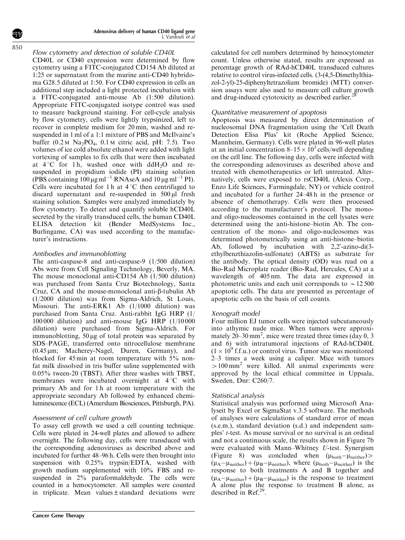Flow cytometry and detection of soluble CD40L CD40L or CD40 expression were determined by flow cytometry using a FITC-conjugated CD154 Ab diluted at 1:25 or supernatant from the murine anti-CD40 hybridoma G28.5 diluted at 1:50. For CD40 expression in cells an additional step included a light protected incubation with a FITC-conjugated anti-mouse Ab (1:500 dilution). Appropriate FITC-conjugated isotype control was used to measure background staining. For cell-cycle analysis by flow cytometry, cells were lightly trypsinized, left to recover in complete medium for 20 min, washed and resuspended in 1 ml of a 1:1 mixture of PBS and McIlvaine's buffer  $(0.2 \text{M} \text{ Na}_2\text{PO}_4, 0.1 \text{M} \text{ citric acid}, \text{pH: } 7.5)$ . Two volumes of ice cold absolute ethanol were added with light vortexing of samples to fix cells that were then incubated at  $4^{\circ}$ C for 1h, washed once with ddH<sub>2</sub>O and resuspended in propidium iodide (PI) staining solution (PBS containing  $100 \,\mathrm{\upmu g\,ml^{-1}}$  RNAseA and  $10 \,\mathrm{\upmu g\,ml^{-1}}$  PI). Cells were incubated for 1 h at  $4^{\circ}$ C then centrifuged to discard supernatant and re-suspended in  $500 \mu l$  fresh staining solution. Samples were analyzed immediately by flow cytometry. To detect and quantify soluble hCD40L secreted by the virally transduced cells, the human CD40L ELISA detection kit (Bender MedSystems Inc., Burlingame, CA) was used according to the manufacturer's instructions.

## Antibodies and immunoblotting

The anti-caspase-8 and anti-caspase-9 (1/500 dilution) Abs were from Cell Signaling Technology, Beverly, MA. The mouse monoclonal anti-CD154 Ab (1/500 dilution) was purchased from Santa Cruz Biotechnology, Santa Cruz, CA and the mouse-monoclonal anti-b-tubulin Ab (1/2000 dilution) was from Sigma-Aldrich, St Louis, Missouri. The anti-ERK1 Ab (1/1000 dilution) was purchased from Santa Cruz. Anti-rabbit IgG HRP (1/ 100 000 dilution) and anti-mouse IgG HRP (1/10 000 dilution) were purchased from Sigma-Aldrich. For immunoblotting,  $50 \mu g$  of total protein was separated by SDS–PAGE, transferred onto nitrocellulose membrane  $(0.45 \,\mu\text{m})$ ; Macherey-Nagel, Duren, Germany), and blocked for 45 min at room temperature with 5% nonfat milk dissolved in tris buffer saline supplemented with 0.05% tween-20 (TBST). After three washes with TBST, membranes were incubated overnight at  $4^{\circ}$ C with primary Ab and for 1 h at room temperature with the appropriate secondary Ab followed by enhanced chemiluminescence (ECL) (Amersham Biosciences, Pittsburgh, PA).

## Assessment of cell culture growth

To assay cell growth we used a cell counting technique. Cells were plated in 24-well plates and allowed to adhere overnight. The following day, cells were transduced with the corresponding adenoviruses as described above and incubated for further 48–96 h. Cells were then brought into suspension with 0.25% trypsin/EDTA, washed with growth medium supplemented with 10% FBS and resuspended in 2% paraformaldehyde. The cells were counted in a hemocytometer. All samples were counted in triplicate. Mean values±standard deviations were calculated for cell numbers determined by hemocytometer count. Unless otherwise stated, results are expressed as percentage growth of RAd-hCD40L transduced cultures relative to control virus-infected cells. (3-(4,5-Dimethylthiazol-2-yl)-25-diphenyltetrazoliam bromide) (MTT) conversion assays were also used to measure cell culture growth and drug-induced cytotoxicity as described earlier.<sup>2</sup>

## Quantitative measurement of apoptosis

Apoptosis was measured by direct determination of nucleosomal DNA fragmentation using the 'Cell Death Detection Elisa Plus' kit (Roche Applied Science, Mannheim, Germany). Cells were plated in 96-well plates at an initial concentration  $8-15 \times 10^3$  cells/well depending on the cell line. The following day, cells were infected with the corresponding adenoviruses as described above and treated with chemotherapeutics or left untreated. Alternatively, cells were exposed to rsCD40L (Alexis Corp., Enzo Life Sciences, Farmingdale, NY) or vehicle control and incubated for a further 24–48 h in the presence or absence of chemotherapy. Cells were then processed according to the manufacturer's protocol. The monoand oligo-nucleosomes contained in the cell lysates were determined using the anti-histone–biotin Ab. The concentration of the mono- and oligo-nucleosomes was determined photometrically using an anti-histone–biotin Ab, followed by incubation with  $2,2'$ -azino-di $(3$ ethylbenzthiazolin-sulfonate) (ABTS) as substrate for the antibody. The optical density (OD) was read on a Bio-Rad Microplate reader (Bio-Rad, Hercules, CA) at a wavelength of 405 nm. The data are expressed in photometric units and each unit corresponds to  $\sim$  12 500 apoptotic cells. The data are presented as percentage of apoptotic cells on the basis of cell counts.

## Xenograft model

Four million EJ tumor cells were injected subcutaneously into athymic nude mice. When tumors were approximately  $20-30$  mm<sup>2</sup>, mice were treated three times (day 0, 3) and 6) with intratumoral injections of RAd-hCD40L  $(1 \times 10^9$  f.f.u.) or control virus. Tumor size was monitored 2–3 times a week using a caliper. Mice with tumors  $>100$  mm<sup>2</sup> were killed. All animal experiments were approved by the local ethical committee in Uppsala, Sweden, Dnr: C260/7.

## Statistical analysis

Statistical analysis was performed using Microsoft Analyseit by Excel or SigmaStat v.3.5 software. The methods of analyses were calculations of standard error of mean (s.e.m.), standard deviation (s.d.) and independent samples' t-test. As mouse survival or no survival is an ordinal and not a continuous scale, the results shown in [Figure 7b](#page-8-0) were evaluated with Mann–Whitney U-test. Synergism [\(Figure 8](#page-9-0)) was concluded when  $(\mu_{\text{both}} - \mu_{\text{neither}})$  $(\mu_A - \mu_{neither}) + (\mu_B - \mu_{neither})$ , where  $(\mu_{both} - \mu_{neither})$  is the response to both treatments A and B together and  $(\mu_A - \mu_{neither}) + (\mu_B - \mu_{neither})$  is the response to treatment A alone plus the response to treatment B alone, as described in Ref.<sup>[29](#page-12-0)</sup>.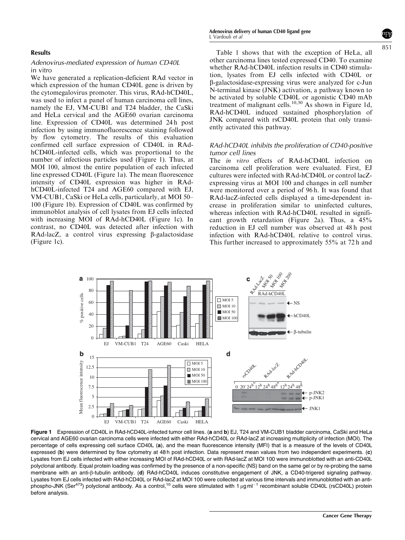#### <span id="page-3-0"></span>Results

#### Adenovirus-mediated expression of human CD40L in vitro

We have generated a replication-deficient RAd vector in which expression of the human CD40L gene is driven by the cytomegalovirus promoter. This virus, RAd-hCD40L, was used to infect a panel of human carcinoma cell lines, namely the EJ, VM-CUB1 and T24 bladder, the CaSki and HeLa cervical and the AGE60 ovarian carcinoma line. Expression of CD40L was determined 24 h post infection by using immunofluorescence staining followed by flow cytometry. The results of this evaluation confirmed cell surface expression of CD40L in RAdhCD40L-infected cells, which was proportional to the number of infectious particles used (Figure 1). Thus, at MOI 100, almost the entire population of each infected line expressed CD40L (Figure 1a). The mean fluorescence intensity of CD40L expression was higher in RAdhCD40L-infected T24 and AGE60 compared with EJ, VM-CUB1, CaSki or HeLa cells, particularly, at MOI 50– 100 (Figure 1b). Expression of CD40L was confirmed by immunoblot analysis of cell lysates from EJ cells infected with increasing MOI of RAd-hCD40L (Figure 1c). In contrast, no CD40L was detected after infection with RAd-lacZ, a control virus expressing  $\beta$ -galactosidase (Figure 1c).

851

[Table 1](#page-1-0) shows that with the exception of HeLa, all other carcinoma lines tested expressed CD40. To examine whether RAd-hCD40L infection results in CD40 stimulation, lysates from EJ cells infected with CD40L or b-galactosidase-expressing virus were analyzed for c-Jun N-terminal kinase (JNK) activation, a pathway known to be activated by soluble CD40L or agonistic CD40 mAb treatment of malignant cells.<sup>[10,30](#page-11-0)</sup> As shown in Figure 1d, RAd-hCD40L induced sustained phosphorylation of JNK compared with rsCD40L protein that only transiently activated this pathway.

#### RAd-hCD40L inhibits the proliferation of CD40-positive tumor cell lines

The *in vitro* effects of RAd-hCD40L infection on carcinoma cell proliferation were evaluated. First, EJ cultures were infected with RAd-hCD40L or control lacZexpressing virus at MOI 100 and changes in cell number were monitored over a period of 96 h. It was found that RAd-lacZ-infected cells displayed a time-dependent increase in proliferation similar to uninfected cultures, whereas infection with RAd-hCD40L resulted in significant growth retardation [\(Figure 2a\)](#page-4-0). Thus, a 45% reduction in EJ cell number was observed at 48 h post infection with RAd-hCD40L relative to control virus. This further increased to approximately 55% at 72 h and



Figure 1 Expression of CD40L in RAd-hCD40L-infected tumor cell lines. (a and b) EJ, T24 and VM-CUB1 bladder carcinoma, CaSki and HeLa cervical and AGE60 ovarian carcinoma cells were infected with either RAd-hCD40L or RAd-lacZ at increasing multiplicity of infection (MOI). The percentage of cells expressing cell surface CD40L (a), and the mean fluorescence intensity (MFI) that is a measure of the levels of CD40L expressed (b) were determined by flow cytometry at 48 h post infection. Data represent mean values from two independent experiments. (c) Lysates from EJ cells infected with either increasing MOI of RAd-hCD40L or with RAd-lacZ at MOI 100 were immunoblotted with an anti-CD40L polyclonal antibody. Equal protein loading was confirmed by the presence of a non-specific (NS) band on the same gel or by re-probing the same membrane with an anti- $\beta$ -tubulin antibody. (d) RAd-hCD40L induces constitutive engagement of JNK, a CD40-trigered signaling pathway. Lysates from EJ cells infected with RAd-hCD40L or RAd-lacZ at MOI 100 were collected at various time intervals and immunoblotted with an antiphospho-JNK (Ser<sup>473</sup>) polyclonal antibody. As a control,<sup>10</sup> cells were stimulated with 1 µg ml<sup>-1</sup> recombinant soluble CD40L (rsCD40L) protein before analysis.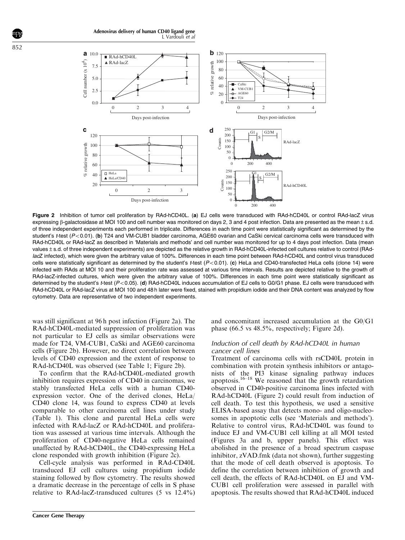Adenovirus delivery of human CD40 ligand gene L Vardouli et al

<span id="page-4-0"></span>

Figure 2 Inhibition of tumor cell proliferation by RAd-hCD40L. (a) EJ cells were transduced with RAd-hCD40L or control RAd-lacZ virus expressing  $\beta$ -galactosidase at MOI 100 and cell number was monitored on days 2, 3 and 4 post infection. Data are presented as the mean  $\pm$  s.d. of three independent experiments each performed in triplicate. Differences in each time point were statistically significant as determined by the student's t-test (P<0.01). (b) T24 and VM-CUB1 bladder carcinoma, AGE60 ovarian and CaSki cervical carcinoma cells were transduced with RAd-hCD40L or RAd-lacZ as described in 'Materials and methods' and cell number was monitored for up to 4 days post infection. Data (mean values ± s.d. of three independent experiments) are depicted as the relative growth in RAd-hCD40L-infected cell cultures relative to control (RAdlacZ infected), which were given the arbitrary value of 100%. Differences in each time point between RAd-hCD40L and control virus transduced cells were statistically significant as determined by the student's t-test  $(P< 0.01)$ . (c) HeLa and CD40-transfected HeLa cells (clone 14) were infected with RAds at MOI 10 and their proliferation rate was assessed at various time intervals. Results are depicted relative to the growth of RAd-lacZ-infected cultures, which were given the arbitrary value of 100%. Differences in each time point were statistically significant as determined by the student's  $t$ -test ( $P < 0.05$ ). (d) RAd-hCD40L induces accumulation of EJ cells to G0/G1 phase. EJ cells were transduced with RAd-hCD40L or RAd-lacZ virus at MOI 100 and 48 h later were fixed, stained with propidium iodide and their DNA content was analyzed by flow cytometry. Data are representative of two independent experiments.

was still significant at 96 h post infection (Figure 2a). The RAd-hCD40L-mediated suppression of proliferation was not particular to EJ cells as similar observations were made for T24, VM-CUB1, CaSki and AGE60 carcinoma cells (Figure 2b). However, no direct correlation between levels of CD40 expression and the extent of response to RAd-hCD40L was observed (see [Table 1;](#page-1-0) Figure 2b).

To confirm that the RAd-hCD40L-mediated growth inhibition requires expression of CD40 in carcinomas, we stably transfected HeLa cells with a human CD40 expression vector. One of the derived clones, HeLa/ CD40 clone 14, was found to express CD40 at levels comparable to other carcinoma cell lines under study [\(Table 1\)](#page-1-0). This clone and parental HeLa cells were infected with RAd-lacZ or RAd-hCD40L and proliferation was assessed at various time intervals. Although the proliferation of CD40-negative HeLa cells remained unaffected by RAd-hCD40L, the CD40-expressing HeLa clone responded with growth inhibition (Figure 2c).

Cell-cycle analysis was performed in RAd-CD40L transduced EJ cell cultures using propidium iodide staining followed by flow cytometry. The results showed a dramatic decrease in the percentage of cells in S phase relative to RAd-lacZ-transduced cultures (5 vs 12.4%) and concomitant increased accumulation at the G0/G1 phase (66.5 vs 48.5%, respectively; Figure 2d).

#### Induction of cell death by RAd-hCD40L in human cancer cell lines

Treatment of carcinoma cells with rsCD40L protein in combination with protein synthesis inhibitors or antagonists of the PI3 kinase signaling pathway induces apoptosis.<sup>16–18</sup> We reasoned that the growth retardation observed in CD40-positive carcinoma lines infected with RAd-hCD40L (Figure 2) could result from induction of cell death. To test this hypothesis, we used a sensitive ELISA-based assay that detects mono- and oligo-nucleosomes in apoptotic cells (see 'Materials and methods'). Relative to control virus, RAd-hCD40L was found to induce EJ and VM-CUB1 cell killing at all MOI tested [\(Figures 3a and b,](#page-5-0) upper panels). This effect was abolished in the presence of a broad spectrum caspase inhibitor, zVAD.fmk (data not shown), further suggesting that the mode of cell death observed is apoptosis. To define the correlation between inhibition of growth and cell death, the effects of RAd-hCD40L on EJ and VM-CUB1 cell proliferation were assessed in parallel with apoptosis. The results showed that RAd-hCD40L induced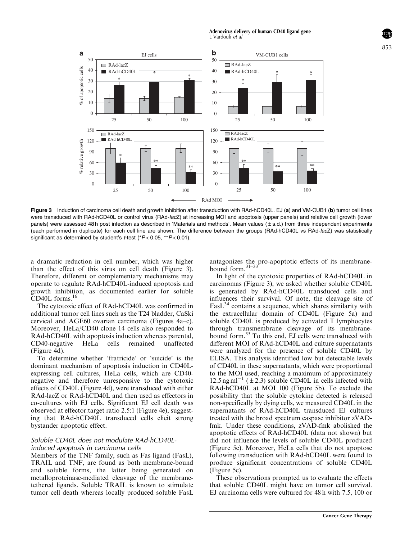Adenovirus delivery of human CD40 ligand gene L Vardouli et al

853

<span id="page-5-0"></span>

Figure 3 Induction of carcinoma cell death and growth inhibition after transduction with RAd-hCD40L. EJ (a) and VM-CUB1 (b) tumor cell lines were transduced with RAd-hCD40L or control virus (RAd-lacZ) at increasing MOI and apoptosis (upper panels) and relative cell growth (lower panels) were assessed 48 h post infection as described in 'Materials and methods'. Mean values (±s.d.) from three independent experiments (each performed in duplicate) for each cell line are shown. The difference between the groups (RAd-hCD40L vs RAd-lacZ) was statistically significant as determined by student's *t*-test ( $P$ <0.05, \*\* $P$ <0.01).

a dramatic reduction in cell number, which was higher than the effect of this virus on cell death (Figure 3). Therefore, different or complementary mechanisms may operate to regulate RAd-hCD40L-induced apoptosis and growth inhibition, as documented earlier for soluble CD40L forms.[16](#page-11-0)

The cytotoxic effect of RAd-hCD40L was confirmed in additional tumor cell lines such as the T24 bladder, CaSki cervical and AGE60 ovarian carcinoma [\(Figures 4a–c\)](#page-6-0). Moreover, HeLa/CD40 clone 14 cells also responded to RAd-hCD40L with apoptosis induction whereas parental, CD40-negative HeLa cells remained unaffected ([Figure 4d](#page-6-0)).

To determine whether 'fratricide' or 'suicide' is the dominant mechanism of apoptosis induction in CD40Lexpressing cell cultures, HeLa cells, which are CD40 negative and therefore unresponsive to the cytotoxic effects of CD40L [\(Figure 4d](#page-6-0)), were transduced with either RAd-lacZ or RAd-hCD40L and then used as effectors in co-cultures with EJ cells. Significant EJ cell death was observed at effector:target ratio 2.5:1 ([Figure 4e\)](#page-6-0), suggesting that RAd-hCD40L transduced cells elicit strong bystander apoptotic effect.

## Soluble CD40L does not modulate RAd-hCD40Linduced apoptosis in carcinoma cells

Members of the TNF family, such as Fas ligand (FasL), TRAIL and TNF, are found as both membrane-bound and soluble forms, the latter being generated on metalloproteinase-mediated cleavage of the membranetethered ligands. Soluble TRAIL is known to stimulate tumor cell death whereas locally produced soluble FasL antagonizes the pro-apoptotic effects of its membranebound form.[31–33](#page-12-0)

In light of the cytotoxic properties of RAd-hCD40L in carcinomas (Figure 3), we asked whether soluble CD40L is generated by RAd-hCD40L transduced cells and influences their survival. Of note, the cleavage site of  $Fast<sup>34</sup> contains a sequence, which shares similarity with$  $Fast<sup>34</sup> contains a sequence, which shares similarity with$  $Fast<sup>34</sup> contains a sequence, which shares similarity with$ the extracellular domain of CD40L ([Figure 5a](#page-7-0)) and soluble CD40L is produced by activated T lymphocytes through transmembrane cleavage of its membranebound form.[35](#page-12-0) To this end, EJ cells were transduced with different MOI of RAd-hCD40L and culture supernatants were analyzed for the presence of soluble CD40L by ELISA. This analysis identified low but detectable levels of CD40L in these supernatants, which were proportional to the MOI used, reaching a maximum of approximately  $12.5$  ng ml<sup>-1</sup> ( $\pm$  2.3) soluble CD40L in cells infected with RAd-hCD40L at MOI 100 ([Figure 5b](#page-7-0)). To exclude the possibility that the soluble cytokine detected is released non-specifically by dying cells, we measured CD40L in the supernatants of RAd-hCD40L transduced EJ cultures treated with the broad spectrum caspase inhibitor zVADfmk. Under these conditions, zVAD-fmk abolished the apoptotic effects of RAd-hCD40L (data not shown) but did not influence the levels of soluble CD40L produced ([Figure 5c\)](#page-7-0). Moreover, HeLa cells that do not apoptose following transduction with RAd-hCD40L were found to produce significant concentrations of soluble CD40L ([Figure 5c](#page-7-0)).

These observations prompted us to evaluate the effects that soluble CD40L might have on tumor cell survival. EJ carcinoma cells were cultured for 48 h with 7.5, 100 or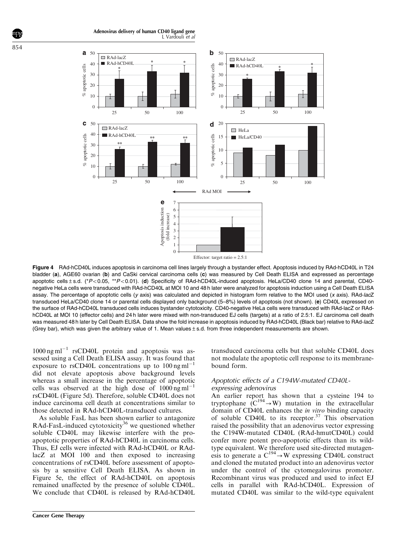Adenovirus delivery of human CD40 ligand gene L Vardouli et al

<span id="page-6-0"></span>

Figure 4 RAd-hCD40L induces apoptosis in carcinoma cell lines largely through a bystander effect. Apoptosis induced by RAd-hCD40L in T24 bladder (a), AGE60 ovarian (b) and CaSki cervical carcinoma cells (c) was measured by Cell Death ELISA and expressed as percentage apoptotic cells  $\pm$  s.d. (\*P<0.05, \*\*P<0.01). (d) Specificity of RAd-hCD40L-induced apoptosis. HeLa/CD40 clone 14 and parental, CD40negative HeLa cells were transduced with RAd-hCD40L at MOI 10 and 48 h later were analyzed for apoptosis induction using a Cell Death ELISA assay. The percentage of apoptotic cells (y axis) was calculated and depicted in histogram form relative to the MOI used (x axis). RAd-lacZ transduced HeLa/CD40 clone 14 or parental cells displayed only background (5–8%) levels of apoptosis (not shown). (e) CD40L expressed on the surface of RAd-hCD40L transduced cells induces bystander cytotoxicity. CD40-negative HeLa cells were transduced with RAd-lacZ or RAdhCD40L at MOI 10 (effector cells) and 24 h later were mixed with non-transduced EJ cells (targets) at a ratio of 2.5:1. EJ carcinoma cell death was measured 48 h later by Cell Death ELISA. Data show the fold increase in apoptosis induced by RAd-hCD40L (Black bar) relative to RAd-lacZ (Grey bar), which was given the arbitrary value of 1. Mean values±s.d. from three independent measurements are shown.

 $1000$  ng ml<sup>-1</sup> rsCD40L protein and apoptosis was assessed using a Cell Death ELISA assay. It was found that exposure to rsCD40L concentrations up to  $100 \text{ ng ml}^{-1}$ did not elevate apoptosis above background levels whereas a small increase in the percentage of apoptotic cells was observed at the high dose of  $1000 \text{ ng} \text{ml}^{-1}$ rsCD40L [\(Figure 5d](#page-7-0)). Therefore, soluble CD40L does not induce carcinoma cell death at concentrations similar to those detected in RAd-hCD40L-transduced cultures.

As soluble FasL has been shown earlier to antagonize RAd-FasL-induced cytotoxicity<sup>[36](#page-12-0)</sup> we questioned whether soluble CD40L may likewise interfere with the proapoptotic properties of RAd-hCD40L in carcinoma cells. Thus, EJ cells were infected with RAd-hCD40L or RAdlacZ at MOI 100 and then exposed to increasing concentrations of rsCD40L before assessment of apoptosis by a sensitive Cell Death ELISA. As shown in [Figure 5e,](#page-7-0) the effect of RAd-hCD40L on apoptosis remained unaffected by the presence of soluble CD40L. We conclude that CD40L is released by RAd-hCD40L transduced carcinoma cells but that soluble CD40L does not modulate the apoptotic cell response to its membranebound form.

#### Apoptotic effects of a C194W-mutated CD40Lexpressing adenovirus

An earlier report has shown that a cysteine 194 to tryptophane  $(C^{194} \rightarrow W)$  mutation in the extracellular domain of CD40L enhances the in vitro binding capacity of soluble CD40L to its receptor. $37$  This observation raised the possibility that an adenovirus vector expressing the C194W-mutated CD40L (RAd-hmutCD40L) could confer more potent pro-apoptotic effects than its wildtype equivalent. We therefore used site-directed mutagenesis to generate a  $C^{194} \rightarrow W$  expressing CD40L construct and cloned the mutated product into an adenovirus vector under the control of the cytomegalovirus promoter. Recombinant virus was produced and used to infect EJ cells in parallel with RAd-hCD40L. Expression of mutated CD40L was similar to the wild-type equivalent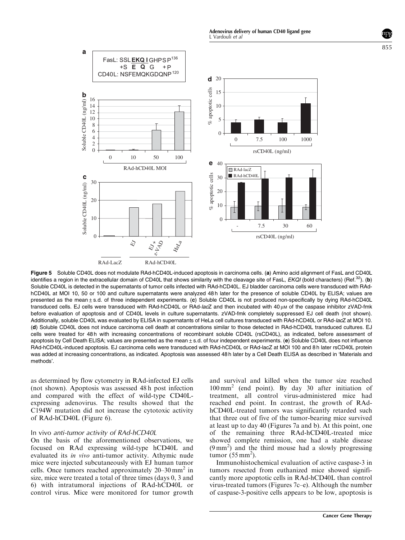<span id="page-7-0"></span>

Figure 5 Soluble CD40L does not modulate RAd-hCD40L-induced apoptosis in carcinoma cells. (a) Amino acid alignment of FasL and CD40L identifies a region in the extracellular domain of CD40L that shows similarity with the cleavage site of FasL, EKQI (bold characters) (Ref.<sup>[32](#page-12-0)</sup>). (b) Soluble CD40L is detected in the supernatants of tumor cells infected with RAd-hCD40L. EJ bladder carcinoma cells were transduced with RAdhCD40L at MOI 10, 50 or 100 and culture supernatants were analyzed 48h later for the presence of soluble CD40L by ELISA; values are presented as the mean±s.d. of three independent experiments. (c) Soluble CD40L is not produced non-specifically by dying RAd-hCD40L transduced cells. EJ cells were transduced with RAd-hCD40L or RAd-lacZ and then incubated with 40 µM of the caspase inhibitor zVAD-fmk before evaluation of apoptosis and of CD40L levels in culture supernatants. zVAD-fmk completely suppressed EJ cell death (not shown). Additionally, soluble CD40L was evaluated by ELISA in supernatants of HeLa cell cultures transduced with RAd-hCD40L or RAd-lacZ at MOI 10. (d) Soluble CD40L does not induce carcinoma cell death at concentrations similar to those detected in RAd-hCD40L transduced cultures. EJ cells were treated for 48 h with increasing concentrations of recombinant soluble CD40L (rsCD40L), as indicated, before assessment of apoptosis by Cell Death ELISA; values are presented as the mean $\pm$ s.d. of four independent experiments. (e) Soluble CD40L does not influence RAd-hCD40L-induced apoptosis. EJ carcinoma cells were transduced with RAd-hCD40L or RAd-lacZ at MOI 100 and 8 h later rsCD40L protein was added at increasing concentrations, as indicated. Apoptosis was assessed 48h later by a Cell Death ELISA as described in 'Materials and methods'.

as determined by flow cytometry in RAd-infected EJ cells (not shown). Apoptosis was assessed 48 h post infection and compared with the effect of wild-type CD40Lexpressing adenovirus. The results showed that the C194W mutation did not increase the cytotoxic activity of RAd-hCD40L ([Figure 6](#page-8-0)).

#### In vivo anti-tumor activity of RAd-hCD40L

On the basis of the aforementioned observations, we focused on RAd expressing wild-type hCD40L and evaluated its in vivo anti-tumor activity. Athymic nude mice were injected subcutaneously with EJ human tumor cells. Once tumors reached approximately  $20-30$  mm<sup>2</sup> in size, mice were treated a total of three times (days 0, 3 and 6) with intratumoral injections of RAd-hCD40L or control virus. Mice were monitored for tumor growth and survival and killed when the tumor size reached 100 mm<sup>2</sup> (end point). By day 30 after initiation of treatment, all control virus-administered mice had reached end point. In contrast, the growth of RAdhCD40L-treated tumors was significantly retarded such that three out of five of the tumor-bearing mice survived at least up to day 40 [\(Figures 7a and b](#page-8-0)). At this point, one of the remaining three RAd-hCD40L-treated mice showed complete remission, one had a stable disease (9 mm<sup>2</sup> ) and the third mouse had a slowly progressing tumor  $(55 \text{ mm}^2)$ .

Immunohistochemical evaluation of active caspase-3 in tumors resected from euthanized mice showed significantly more apoptotic cells in RAd-hCD40L than control virus-treated tumors [\(Figures 7c–e\)](#page-8-0). Although the number of caspase-3-positive cells appears to be low, apoptosis is

855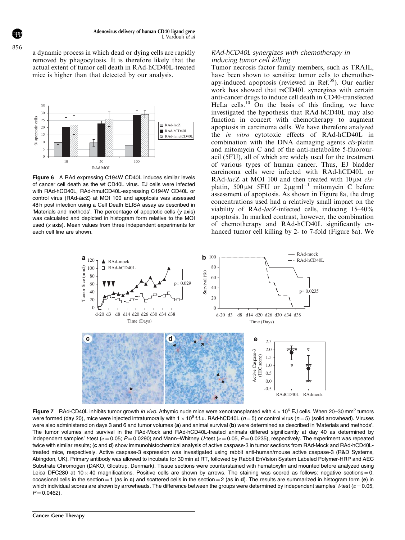a dynamic process in which dead or dying cells are rapidly removed by phagocytosis. It is therefore likely that the actual extent of tumor cell death in RAd-hCD40L-treated mice is higher than that detected by our analysis.



Figure 6 A RAd expressing C194W CD40L induces similar levels of cancer cell death as the wt CD40L virus. EJ cells were infected with RAd-hCD40L, RAd-hmutCD40L-expressing C194W CD40L or control virus (RAd-lacZ) at MOI 100 and apoptosis was assessed 48 h post infection using a Cell Death ELISA assay as described in 'Materials and methods'. The percentage of apoptotic cells (y axis) was calculated and depicted in histogram form relative to the MOI used (x axis). Mean values from three independent experiments for each cell line are shown.

#### RAd-hCD40L synergizes with chemotherapy in inducing tumor cell killing

Tumor necrosis factor family members, such as TRAIL, have been shown to sensitize tumor cells to chemother-apy-induced apoptosis (reviewed in Ref.<sup>[38](#page-12-0)</sup>). Our earlier work has showed that rsCD40L synergizes with certain anti-cancer drugs to induce cell death in CD40-transfected HeLa cells. $^{10}$  $^{10}$  $^{10}$  On the basis of this finding, we have investigated the hypothesis that RAd-hCD40L may also function in concert with chemotherapy to augment apoptosis in carcinoma cells. We have therefore analyzed the in vitro cytotoxic effects of RAd-hCD40L in combination with the DNA damaging agents cis-platin and mitomycin C and of the anti-metabolite 5-fluorouracil (5FU), all of which are widely used for the treatment of various types of human cancer. Thus, EJ bladder carcinoma cells were infected with RAd-hCD40L or RAd-lacZ at MOI 100 and then treated with  $10 \mu$ M cisplatin, 500  $\mu$ M 5FU or 2  $\mu$ g ml<sup>-1</sup> mitomycin C before assessment of apoptosis. As shown in [Figure 8a](#page-9-0), the drug concentrations used had a relatively small impact on the viability of RAd-lacZ-infected cells, inducing 15–40% apoptosis. In marked contrast, however, the combination of chemotherapy and RAd-hCD40L significantly enhanced tumor cell killing by 2- to 7-fold ([Figure 8a\)](#page-9-0). We



Figure 7 RAd-CD40L inhibits tumor growth in vivo. Athymic nude mice were xenotransplanted with  $4 \times 10^6$  EJ cells. When 20–30 mm<sup>2</sup> tumors were formed (day 20), mice were injected intratumorally with  $1 \times 10^9$  f.f.u. RAd-hCD40L ( $n=5$ ) or control virus ( $n=5$ ) (solid arrowhead). Viruses were also administered on days 3 and 6 and tumor volumes (a) and animal survival (b) were determined as described in 'Materials and methods'. The tumor volumes and survival in the RAd-Mock and RAd-hCD40L-treated animals differed significantly at day 40 as determined by independent samples' *t*-test ( $\alpha = 0.05$ ;  $P = 0.0290$ ) and Mann–Whitney U-test ( $\alpha = 0.05$ ,  $P = 0.0235$ ), respectively. The experiment was repeated twice with similar results; (c and d) show immunohistochemical analysis of active caspase-3 in tumor sections from RAd-Mock and RAd-hCD40Ltreated mice, respectively. Active caspase-3 expression was investigated using rabbit anti-human/mouse active caspase-3 (R&D Systems, Abingdon, UK). Primary antibody was allowed to incubate for 30 min at RT, followed by Rabbit EnVision System Labeled Polymer-HRP and AEC Substrate Chromogen (DAKO, Glostrup, Denmark). Tissue sections were counterstained with hematoxylin and mounted before analyzed using Leica DFC280 at 10  $\times$  40 magnifications. Positive cells are shown by arrows. The staining was scored as follows: negative sections = 0, occasional cells in the section =  $1$  (as in c) and scattered cells in the section =  $2$  (as in d). The results are summarized in histogram form (e) in which individual scores are shown by arrowheads. The difference between the groups were determined by independent samples'  $t$ -test ( $\alpha$  = 0.05,  $P = 0.0462$ ).

<span id="page-8-0"></span>856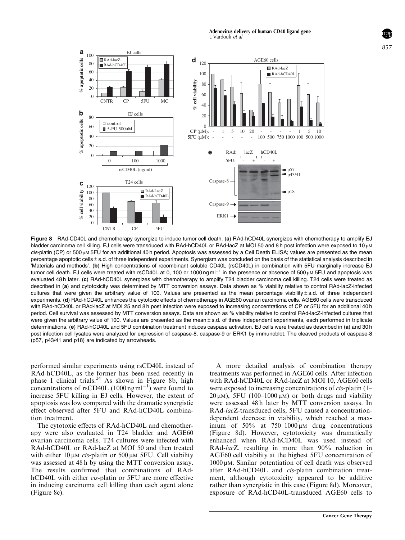Adenovirus delivery of human CD40 ligand gene L Vardouli et al

<span id="page-9-0"></span>

Figure 8 RAd-CD40L and chemotherapy synergize to induce tumor cell death. (a) RAd-hCD40L synergizes with chemotherapy to amplify EJ bladder carcinoma cell killing. EJ cells were transduced with RAd-hCD40L or RAd-lacZ at MOI 50 and 8 h post infection were exposed to 10 µM  $cis$ -platin (CP) or 500  $\mu$ M 5FU for an additional 40 h period. Apoptosis was assessed by a Cell Death ELISA; values are presented as the mean percentage apoptotic cells ± s.d. of three independent experiments. Synergism was concluded on the basis of the statistical analysis described in 'Materials and methods'. (b) High concentrations of recombinant soluble CD40L (rsCD40L) in combination with 5FU marginally increase EJ tumor cell death. EJ cells were treated with rsCD40L at 0, 100 or 1000 ng ml<sup>-1</sup> in the presence or absence of 500 µm 5FU and apoptosis was evaluated 48 h later. (c) RAd-hCD40L synergizes with chemotherapy to amplify T24 bladder carcinoma cell killing. T24 cells were treated as described in (a) and cytotoxicity was determined by MTT conversion assays. Data shown as % viability relative to control RAd-lacZ-infected cultures that were given the arbitrary value of 100. Values are presented as the mean percentage viability $±s.d.$  of three independent experiments. (d) RAd-hCD40L enhances the cytotoxic effects of chemotherapy in AGE60 ovarian carcinoma cells. AGE60 cells were transduced with RAd-hCD40L or RAd-lacZ at MOI 25 and 8 h post infection were exposed to increasing concentrations of CP or 5FU for an additional 40 h period. Cell survival was assessed by MTT conversion assays. Data are shown as % viability relative to control RAd-lacZ-infected cultures that were given the arbitrary value of 100. Values are presented as the mean±s.d. of three independent experiments, each performed in triplicate determinations. (e) RAd-hCD40L and 5FU combination treatment induces caspase activation. EJ cells were treated as described in (a) and 30 h post infection cell lysates were analyzed for expression of caspase-8, caspase-9 or ERK1 by immunoblot. The cleaved products of caspase-8 (p57, p43/41 and p18) are indicated by arrowheads.

performed similar experiments using rsCD40L instead of RAd-hCD40L, as the former has been used recently in phase I clinical trials.<sup>[24](#page-12-0)</sup> As shown in Figure 8b, high concentrations of rsCD40L  $(1000 \text{ ng ml}^{-1})$  were found to increase 5FU killing in EJ cells. However, the extent of apoptosis was low compared with the dramatic synergistic effect observed after 5FU and RAd-hCD40L combination treatment.

The cytotoxic effects of RAd-hCD40L and chemotherapy were also evaluated in T24 bladder and AGE60 ovarian carcinoma cells. T24 cultures were infected with RAd-hCD40L or RAd-lacZ at MOI 50 and then treated with either  $10 \mu M$  cis-platin or  $500 \mu M$  5FU. Cell viability was assessed at 48 h by using the MTT conversion assay. The results confirmed that combinations of RAdhCD40L with either *cis*-platin or 5FU are more effective in inducing carcinoma cell killing than each agent alone (Figure 8c).

A more detailed analysis of combination therapy treatments was performed in AGE60 cells. After infection with RAd-hCD40L or RAd-lacZ at MOI 10, AGE60 cells were exposed to increasing concentrations of *cis*-platin (1–  $20 \mu$ M), 5FU (100–1000  $\mu$ M) or both drugs and viability were assessed 48 h later by MTT conversion assays. In RAd-lacZ-transduced cells, 5FU caused a concentrationdependent decrease in viability, which reached a maximum of  $50\%$  at  $750-1000 \mu M$  drug concentrations (Figure 8d). However, cytotoxicity was dramatically enhanced when RAd-hCD40L was used instead of RAd-lacZ, resulting in more than 90% reduction in AGE60 cell viability at the highest 5FU concentration of  $1000 \mu$ M. Similar potentiation of cell death was observed after RAd-hCD40L and cis-platin combination treatment, although cytotoxicity appeared to be additive rather than synergistic in this case (Figure 8d). Moreover, exposure of RAd-hCD40L-transduced AGE60 cells to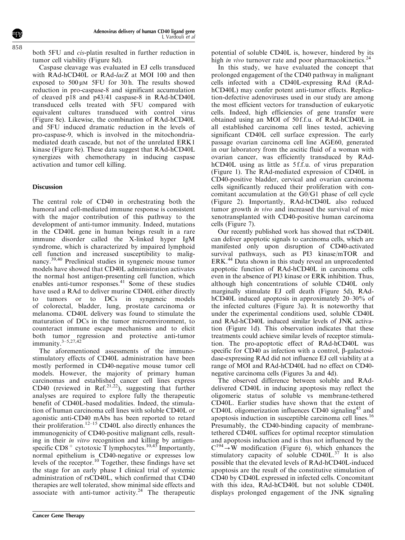both 5FU and cis-platin resulted in further reduction in tumor cell viability ([Figure 8d\)](#page-9-0).

Caspase cleavage was evaluated in EJ cells transduced with RAd-hCD40L or RAd-lacZ at MOI 100 and then exposed to  $500 \mu M$  5FU for 30 h. The results showed reduction in pro-caspase-8 and significant accumulation of cleaved p18 and p43/41 caspase-8 in RAd-hCD40L transduced cells treated with 5FU compared with equivalent cultures transduced with control virus [\(Figure 8e\)](#page-9-0). Likewise, the combination of RAd-hCD40L and 5FU induced dramatic reduction in the levels of pro-caspase-9, which is involved in the mitochondriamediated death cascade, but not of the unrelated ERK1 kinase ([Figure 8e\)](#page-9-0). These data suggest that RAd-hCD40L synergizes with chemotherapy in inducing caspase activation and tumor cell killing.

## Discussion

The central role of CD40 in orchestrating both the humoral and cell-mediated immune response is consistent with the major contribution of this pathway to the development of anti-tumor immunity. Indeed, mutations in the CD40L gene in human beings result in a rare immune disorder called the X-linked hyper IgM syndrome, which is characterized by impaired lymphoid cell function and increased susceptibility to malignancy[.39,40](#page-12-0) Preclinical studies in syngeneic mouse tumor models have showed that CD40L administration activates the normal host antigen-presenting cell function, which enables anti-tumor responses.<sup>[41](#page-12-0)</sup> Some of these studies have used a RAd to deliver murine CD40L either directly to tumors or to DCs in syngeneic models of colorectal, bladder, lung, prostate carcinoma or melanoma. CD40L delivery was found to stimulate the maturation of DCs in the tumor microenvironment, to counteract immune escape mechanisms and to elicit both tumor regression and protective anti-tumor immunity[.3–5,27,42](#page-11-0)

The aforementioned assessments of the immunostimulatory effects of CD40L administration have been mostly performed in CD40-negative mouse tumor cell models. However, the majority of primary human carcinomas and established cancer cell lines express CD40 (reviewed in Ref.<sup>[21,22](#page-12-0)</sup>), suggesting that further analyses are required to explore fully the therapeutic benefit of CD40L-based modalities. Indeed, the stimulation of human carcinoma cell lines with soluble CD40L or agonistic anti-CD40 mAbs has been reported to retard their proliferation.<sup>12-15</sup> CD40L also directly enhances the immunogenicity of CD40-positive malignant cells, resulting in their *in vitro* recognition and killing by antigenspecific  $CD8^+$  cytotoxic T lymphocytes.<sup>[10,43](#page-11-0)</sup> Importantly, normal epithelium is CD40-negative or expresses low levels of the receptor.[10](#page-11-0) Together, these findings have set the stage for an early phase I clinical trial of systemic administration of rsCD40L, which confirmed that CD40 therapies are well tolerated, show minimal side effects and associate with anti-tumor activity.<sup>[24](#page-12-0)</sup> The therapeutic

potential of soluble CD40L is, however, hindered by its high *in vivo* turnover rate and poor pharmacokinetics.<sup>[24](#page-12-0)</sup>

In this study, we have evaluated the concept that prolonged engagement of the CD40 pathway in malignant cells infected with a CD40L-expressing RAd (RAdhCD40L) may confer potent anti-tumor effects. Replication-defective adenoviruses used in our study are among the most efficient vectors for transduction of eukaryotic cells. Indeed, high efficiencies of gene transfer were obtained using an MOI of 50 f.f.u. of RAd-hCD40L in all established carcinoma cell lines tested, achieving significant CD40L cell surface expression. The early passage ovarian carcinoma cell line AGE60, generated in our laboratory from the ascitic fluid of a woman with ovarian cancer, was efficiently transduced by RAdhCD40L using as little as 5 f.f.u. of virus preparation [\(Figure 1](#page-3-0)). The RAd-mediated expression of CD40L in CD40-positive bladder, cervical and ovarian carcinoma cells significantly reduced their proliferation with concomitant accumulation at the G0/G1 phase of cell cycle [\(Figure 2](#page-4-0)). Importantly, RAd-hCD40L also reduced tumor growth in vivo and increased the survival of mice xenotransplanted with CD40-positive human carcinoma cells ([Figure 7](#page-8-0)).

Our recently published work has showed that rsCD40L can deliver apoptotic signals to carcinoma cells, which are manifested only upon disruption of CD40-activated survival pathways, such as PI3 kinase/mTOR and ERK.<sup>44</sup> Data shown in this study reveal an unprecedented apoptotic function of RAd-hCD40L in carcinoma cells even in the absence of PI3 kinase or ERK inhibition. Thus, although high concentrations of soluble CD40L only marginally stimulate EJ cell death ([Figure 5d\)](#page-7-0), RAdhCD40L induced apoptosis in approximately 20–30% of the infected cultures ([Figure 3a](#page-5-0)). It is noteworthy that under the experimental conditions used, soluble CD40L and RAd-hCD40L induced similar levels of JNK activation ([Figure 1d](#page-3-0)). This observation indicates that these treatments could achieve similar levels of receptor stimulation. The pro-apoptotic effect of RAd-hCD40L was specific for CD40 as infection with a control,  $\beta$ -galactosidase-expressing RAd did not influence EJ cell viability at a range of MOI and RAd-hCD40L had no effect on CD40 negative carcinoma cells ([Figures 3a and 4d](#page-5-0)).

The observed difference between soluble and RAddelivered CD40L in inducing apoptosis may reflect the oligomeric status of soluble vs membrane-tethered CD40L. Earlier studies have shown that the extent of CD40L oligomerization influences CD40 signaling<sup>[45](#page-12-0)</sup> and apoptosis induction in susceptible carcinoma cell lines.<sup>1</sup> Presumably, the CD40-binding capacity of membranetethered CD40L suffices for optimal receptor stimulation and apoptosis induction and is thus not influenced by the  $C^{194} \rightarrow W$  modification ([Figure 6](#page-8-0)), which enhances the stimulatory capacity of soluble  $CD40L^{37}$  $CD40L^{37}$  $CD40L^{37}$  It is also possible that the elevated levels of RAd-hCD40L-induced apoptosis are the result of the constitutive stimulation of CD40 by CD40L expressed in infected cells. Concomitant with this idea, RAd-hCD40L but not soluble CD40L displays prolonged engagement of the JNK signaling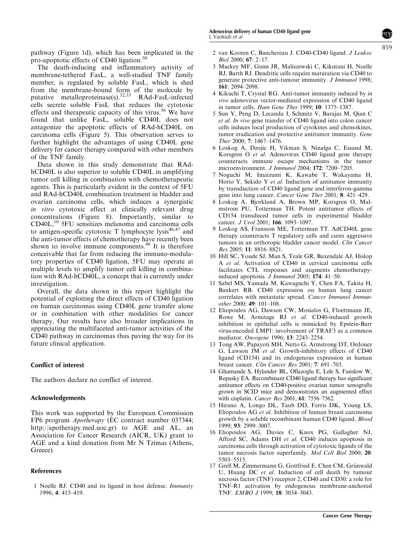<span id="page-11-0"></span>pathway [\(Figure 1d](#page-3-0)), which has been implicated in the pro-apoptotic effects of CD40 ligation.[30](#page-12-0)

The death-inducing and inflammatory activity of membrane-tethered FasL, a well-studied TNF family member, is regulated by soluble FasL, which is shed from the membrane-bound form of the molecule by putative metalloproteinase(s).<sup>32,33</sup> RAd-FasL-infected cells secrete soluble FasL that reduces the cytotoxic effects and therapeutic capacity of this virus.<sup>[36](#page-12-0)</sup> We have found that unlike FasL, soluble CD40L does not antagonize the apoptotic effects of RAd-hCD40L on carcinoma cells ([Figure 5](#page-7-0)). This observation serves to further highlight the advantages of using CD40L gene delivery for cancer therapy compared with other members of the TNF family.

Data shown in this study demonstrate that RAdhCD40L is also superior to soluble CD40L in amplifying tumor cell killing in combination with chemotherapeutic agents. This is particularly evident in the context of 5FU and RAd-hCD40L combination treatment in bladder and ovarian carcinoma cells, which induces a synergistic in vitro cytotoxic effect at clinically relevant drug concentrations ([Figure 8\)](#page-9-0). Importantly, similar to CD40L,10 5FU sensitizes melanoma and carcinoma cells to antigen-specific cytotoxic T lymphocyte lysis $46,47$  and the anti-tumor effects of chemotherapy have recently been shown to involve immune components. $48$  It is therefore conceivable that far from reducing the immuno-modulatory properties of CD40 ligation, 5FU may operate at multiple levels to amplify tumor cell killing in combination with RAd-hCD40L, a concept that is currently under investigation.

Overall, the data shown in this report highlight the potential of exploiting the direct effects of CD40 ligation on human carcinomas using CD40L gene transfer alone or in combination with other modalities for cancer therapy. Our results have also broader implications in appreciating the multifaceted anti-tumor activities of the CD40 pathway in carcinomas thus paving the way for its future clinical application.

## Conflict of interest

The authors declare no conflict of interest.

#### Acknowledgements

This work was supported by the European Commission FP6 program Apotherapy (EC contract number 037344; [http://apotherapy.med.uoc.gr\)](http://apotherapy.med.uoc.gr) to AGE and AL, an Association for Cancer Research (AICR, UK) grant to AGE and a kind donation from Mr N Tzimas (Athens, Greece).

#### References

1 Noelle RJ. CD40 and its ligand in host defense. Immunity 1996; 4: 415–419.

- 2 van Kooten C, Banchereau J. CD40-CD40 ligand. J Leukoc Biol 2000; 67: 2–17.
- 3 Mackey MF, Gunn JR, Maliszewski C, Kikutani H, Noelle RJ, Barth RJ. Dendritic cells require maturation via CD40 to generate protective anti-tumour immunity. *J Immunol* 1998; 161: 2094–2098.
- 4 Kikuchi T, Crystal RG. Anti-tumor immunity induced by in vivo adenovirus vector-mediated expression of CD40 ligand in tumor cells. Hum Gene Ther 1999; 10: 1375–1387.
- 5 Sun Y, Peng D, Lecanda J, Schmitz V, Barajas M, Qian C et al. In vivo gene transfer of CD40 ligand into colon cancer cells induces local production of cytokines and chemokines, tumor eradication and protective antitumor immunity. Gene Ther 2000; 7: 1467–1476.
- 6 Loskog A, Dzojic H, Vikman S, Ninalga C, Essand M, Korsgren O et al. Adenovirus CD40 ligand gene therapy counteracts immune escape mechanisms in the tumor microenvironment. J Immunol 2004; 172: 7200–7205.
- 7 Noguchi M, Imaizumi K, Kawabe T, Wakayama H, Horio Y, Sekido Y et al. Induction of antitumor immunity by transduction of CD40 ligand gene and interferon-gamma gene into lung cancer. Cancer Gene Ther 2001; 8: 421–429.
- 8 Loskog A, Bjorkland A, Brown MP, Korsgren O, Malmstrom PU, Totterman TH. Potent antitumor effects of CD154 transduced tumor cells in experimental bladder cancer. J Urol 2001; 166: 1093-1097.
- 9 Loskog AS, Fransson ME, Totterman TT. AdCD40L gene therapy counteracts T regulatory cells and cures aggressive tumors in an orthotopic bladder cancer model. Clin Cancer Res 2005; 11: 8816–8821.
- 10 Hill SC, Youde SJ, Man S, Teale GR, Baxendale AJ, Hislop A et al. Activation of CD40 in cervical carcinoma cells facilitates CTL responses and augments chemotherapyinduced apoptosis. J Immunol 2005; 174: 41–50.
- 11 Sabel MS, Yamada M, Kawaguchi Y, Chen FA, Takita H, Bankert RB. CD40 expression on human lung cancer correlates with metastatic spread. Cancer Immunol Immunother 2000; 49: 101–108.
- 12 Eliopoulos AG, Dawson CW, Mosialos G, Floettmann JE, Rowe M, Armitage RJ et al. CD40-induced growth inhibition in epithelial cells is mimicked by Epstein-Barr virus-encoded LMP1: involvement of TRAF3 as a common mediator. Oncogene 1996; 13: 2243–2254.
- 13 Tong AW, Papayoti MH, Netto G, Armstrong DT, Ordonez G, Lawson JM et al. Growth-inhibitory effects of CD40 ligand (CD154) and its endogenous expression in human breast cancer. Clin Cancer Res 2001; 7: 691–703.
- 14 Ghamande S, Hylander BL, Oflazoglu E, Lele S, Fanslow W, Repasky EA. Recombinant CD40 ligand therapy has significant antitumor effects on CD40-positive ovarian tumor xenografts grown in SCID mice and demonstrates an augmented effect with cisplatin. Cancer Res 2001; 61: 7556–7562.
- 15 Hirano A, Longo DL, Taub DD, Ferris DK, Young LS, Eliopoulos AG et al. Inhibition of human breast carcinoma growth by a soluble recombinant human CD40 ligand. Blood 1999; 93: 2999–3007.
- 16 Eliopoulos AG, Davies C, Knox PG, Gallagher NJ, Afford SC, Adams DH et al. CD40 induces apoptosis in carcinoma cells through activation of cytotoxic ligands of the tumor necrosis factor superfamily. Mol Cell Biol 2000; 20: 5503–5515.
- 17 Grell M, Zimmermann G, Gottfried E, Chen CM, Grünwald U, Huang DC et al. Induction of cell death by tumour necrosis factor (TNF) receptor 2, CD40 and CD30: a role for TNF-R1 activation by endogenous membrane-anchored TNF. EMBO J 1999; 18: 3034–3043.